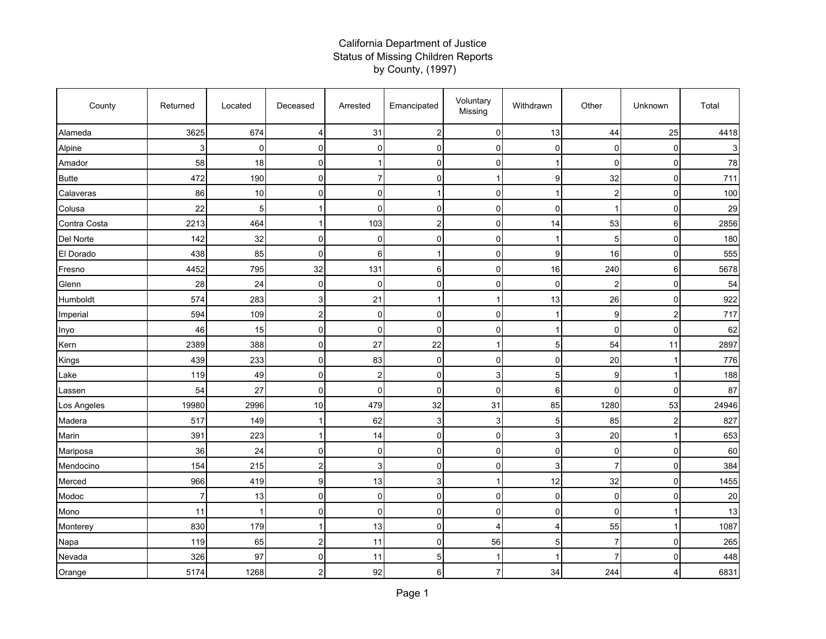## California Department of Justice Status of Missing Children Reports by County, (1997)

| County       | Returned       | Located     | Deceased       | Arrested                | Emancipated    | Voluntary<br>Missing | Withdrawn      | Other                   | Unknown                 | Total |
|--------------|----------------|-------------|----------------|-------------------------|----------------|----------------------|----------------|-------------------------|-------------------------|-------|
| Alameda      | 3625           | 674         | $\overline{4}$ | 31                      | $\overline{2}$ | $\mathbf 0$          | 13             | 44                      | 25                      | 4418  |
| Alpine       | 3              | 0           | $\overline{0}$ | $\mathbf 0$             | 0              | $\mathbf 0$          | 0              | 0                       | 0                       | 3     |
| Amador       | 58             | 18          | $\Omega$       |                         | $\Omega$       | $\overline{0}$       |                | $\Omega$                | 0                       | 78    |
| <b>Butte</b> | 472            | 190         | $\Omega$       | $\overline{7}$          | $\mathbf{0}$   | $\mathbf{1}$         | 9              | 32                      | 0                       | 711   |
| Calaveras    | 86             | 10          | $\overline{0}$ | $\mathbf 0$             | 1              | $\mathbf 0$          | -1             | $\overline{\mathbf{c}}$ | 0                       | 100   |
| Colusa       | 22             | 5           |                | 0                       | 0              | $\mathbf 0$          | 0              |                         | 0                       | 29    |
| Contra Costa | 2213           | 464         | 1              | 103                     | $\overline{c}$ | $\mathbf 0$          | 14             | 53                      | 6                       | 2856  |
| Del Norte    | 142            | 32          | $\overline{0}$ | 0                       | $\Omega$       | $\mathbf 0$          |                | 5                       | 0                       | 180   |
| El Dorado    | 438            | 85          | $\Omega$       | 6                       | 1              | $\mathbf 0$          | 9              | 16                      | 0                       | 555   |
| Fresno       | 4452           | 795         | 32             | 131                     | 6              | $\mathbf 0$          | 16             | 240                     | 6                       | 5678  |
| Glenn        | 28             | 24          | $\Omega$       | 0                       | 0              | $\mathbf 0$          | $\mathbf 0$    | $\overline{2}$          | $\mathbf 0$             | 54    |
| Humboldt     | 574            | 283         | 3              | 21                      |                | $\mathbf 1$          | 13             | 26                      | 0                       | 922   |
| Imperial     | 594            | 109         | $\overline{2}$ | 0                       | 0              | $\mathbf 0$          |                | $\boldsymbol{9}$        | $\overline{\mathbf{c}}$ | 717   |
| Inyo         | 46             | 15          | $\Omega$       | $\Omega$                | $\Omega$       | $\overline{0}$       |                | $\mathbf{0}$            | 0                       | 62    |
| Kern         | 2389           | 388         | $\Omega$       | 27                      | 22             | $\mathbf{1}$         | 5              | 54                      | 11                      | 2897  |
| Kings        | 439            | 233         | $\overline{0}$ | 83                      | $\Omega$       | $\mathbf 0$          | $\mathbf 0$    | 20                      | $\mathbf 1$             | 776   |
| Lake         | 119            | 49          | $\overline{0}$ | $\overline{\mathbf{c}}$ | 0              | $\mathsf 3$          | 5              | 9                       | 1                       | 188   |
| Lassen       | 54             | 27          | $\Omega$       | $\overline{0}$          | 0              | $\overline{0}$       | 6              | $\mathbf 0$             | 0                       | 87    |
| Los Angeles  | 19980          | 2996        | 10             | 479                     | 32             | 31                   | 85             | 1280                    | 53                      | 24946 |
| Madera       | 517            | 149         |                | 62                      | 3              | 3                    | 5              | 85                      | $\overline{c}$          | 827   |
| Marin        | 391            | 223         |                | 14                      | 0              | $\mathbf 0$          | 3              | 20                      | 1                       | 653   |
| Mariposa     | 36             | 24          | $\Omega$       | $\mathbf{0}$            | $\mathbf{0}$   | $\mathbf 0$          | $\mathbf 0$    | $\mathbf 0$             | $\mathbf 0$             | 60    |
| Mendocino    | 154            | 215         | $\overline{c}$ | 3                       | 0              | $\mathbf 0$          | 3              | $\overline{7}$          | 0                       | 384   |
| Merced       | 966            | 419         | 9              | 13                      | 3              | 1                    | 12             | 32                      | 0                       | 1455  |
| Modoc        | $\overline{7}$ | 13          | $\Omega$       | $\mathbf{0}$            | $\Omega$       | $\overline{0}$       | $\mathbf 0$    | $\mathbf 0$             | 0                       | 20    |
| Mono         | 11             | $\mathbf 1$ | $\Omega$       | $\mathbf{0}$            | 0              | $\overline{0}$       | $\mathbf 0$    | 0                       | 1                       | 13    |
| Monterey     | 830            | 179         |                | 13                      | $\Omega$       | $\overline{4}$       | $\overline{4}$ | 55                      | 1                       | 1087  |
| Napa         | 119            | 65          | $\overline{c}$ | 11                      | 0              | 56                   | 5              | 7                       | 0                       | 265   |
| Nevada       | 326            | 97          | $\overline{0}$ | 11                      | 5              | $\mathbf 1$          |                | $\overline{7}$          | 0                       | 448   |
| Orange       | 5174           | 1268        | $\overline{2}$ | 92                      | 6              | $\overline{7}$       | 34             | 244                     | 4                       | 6831  |